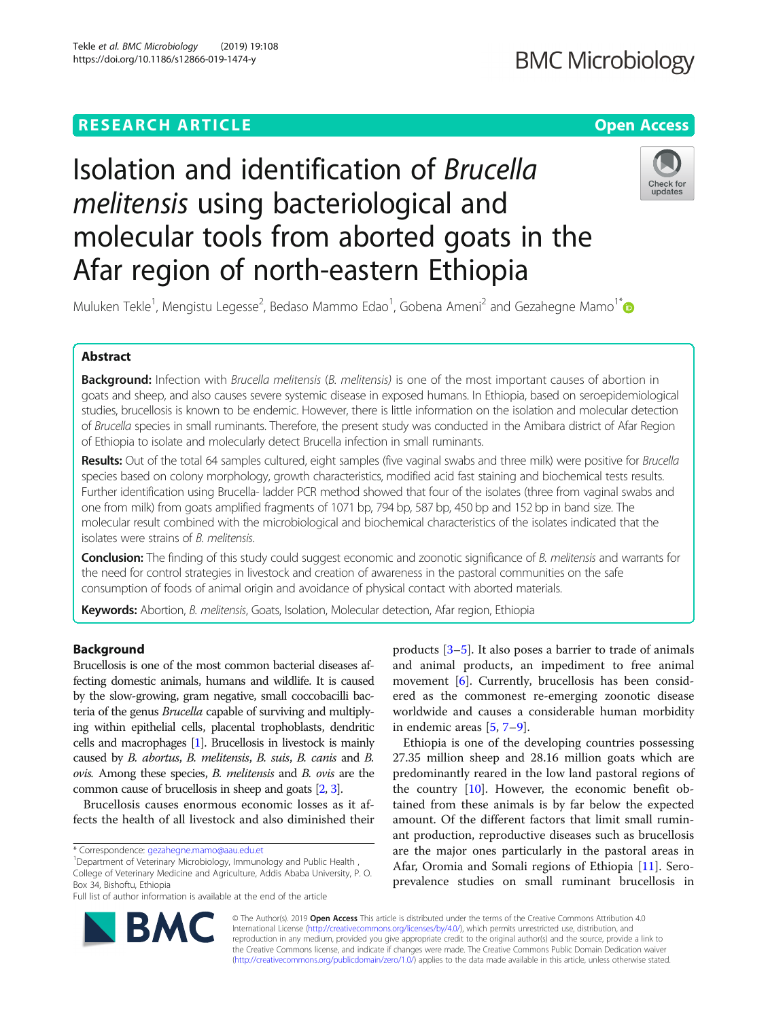# **RESEARCH ARTICLE Example 2014 12:30 The Contract of Contract ACCESS**

# Isolation and identification of Brucella melitensis using bacteriological and molecular tools from aborted goats in the Afar region of north-eastern Ethiopia



Muluken Tekle<sup>1</sup>, Mengistu Legesse<sup>2</sup>, Bedaso Mammo Edao<sup>1</sup>, Gobena Ameni<sup>2</sup> and Gezahegne Mamo<sup>1[\\*](http://orcid.org/0000-0002-4200-884X)</sup>

# Abstract

Background: Infection with Brucella melitensis (B. melitensis) is one of the most important causes of abortion in goats and sheep, and also causes severe systemic disease in exposed humans. In Ethiopia, based on seroepidemiological studies, brucellosis is known to be endemic. However, there is little information on the isolation and molecular detection of Brucella species in small ruminants. Therefore, the present study was conducted in the Amibara district of Afar Region of Ethiopia to isolate and molecularly detect Brucella infection in small ruminants.

Results: Out of the total 64 samples cultured, eight samples (five vaginal swabs and three milk) were positive for Brucella species based on colony morphology, growth characteristics, modified acid fast staining and biochemical tests results. Further identification using Brucella- ladder PCR method showed that four of the isolates (three from vaginal swabs and one from milk) from goats amplified fragments of 1071 bp, 794 bp, 587 bp, 450 bp and 152 bp in band size. The molecular result combined with the microbiological and biochemical characteristics of the isolates indicated that the isolates were strains of B. melitensis.

Conclusion: The finding of this study could suggest economic and zoonotic significance of B. melitensis and warrants for the need for control strategies in livestock and creation of awareness in the pastoral communities on the safe consumption of foods of animal origin and avoidance of physical contact with aborted materials.

Keywords: Abortion, B. melitensis, Goats, Isolation, Molecular detection, Afar region, Ethiopia

# Background

Brucellosis is one of the most common bacterial diseases affecting domestic animals, humans and wildlife. It is caused by the slow-growing, gram negative, small coccobacilli bacteria of the genus Brucella capable of surviving and multiplying within epithelial cells, placental trophoblasts, dendritic cells and macrophages [\[1\]](#page-5-0). Brucellosis in livestock is mainly caused by B. abortus, B. melitensis, B. suis, B. canis and B. ovis. Among these species, B. melitensis and B. ovis are the common cause of brucellosis in sheep and goats [\[2](#page-5-0), [3](#page-5-0)].

Brucellosis causes enormous economic losses as it affects the health of all livestock and also diminished their

<sup>1</sup>Department of Veterinary Microbiology, Immunology and Public Health College of Veterinary Medicine and Agriculture, Addis Ababa University, P. O. Box 34, Bishoftu, Ethiopia

Full list of author information is available at the end of the article

products [[3](#page-5-0)–[5](#page-5-0)]. It also poses a barrier to trade of animals and animal products, an impediment to free animal movement [\[6](#page-5-0)]. Currently, brucellosis has been considered as the commonest re-emerging zoonotic disease worldwide and causes a considerable human morbidity in endemic areas [[5,](#page-5-0) [7](#page-5-0)–[9\]](#page-5-0).

Ethiopia is one of the developing countries possessing 27.35 million sheep and 28.16 million goats which are predominantly reared in the low land pastoral regions of the country [\[10](#page-5-0)]. However, the economic benefit obtained from these animals is by far below the expected amount. Of the different factors that limit small ruminant production, reproductive diseases such as brucellosis are the major ones particularly in the pastoral areas in Afar, Oromia and Somali regions of Ethiopia [\[11\]](#page-5-0). Seroprevalence studies on small ruminant brucellosis in



© The Author(s). 2019 Open Access This article is distributed under the terms of the Creative Commons Attribution 4.0 International License [\(http://creativecommons.org/licenses/by/4.0/](http://creativecommons.org/licenses/by/4.0/)), which permits unrestricted use, distribution, and reproduction in any medium, provided you give appropriate credit to the original author(s) and the source, provide a link to the Creative Commons license, and indicate if changes were made. The Creative Commons Public Domain Dedication waiver [\(http://creativecommons.org/publicdomain/zero/1.0/](http://creativecommons.org/publicdomain/zero/1.0/)) applies to the data made available in this article, unless otherwise stated.

<sup>\*</sup> Correspondence: [gezahegne.mamo@aau.edu.et](mailto:gezahegne.mamo@aau.edu.et) <sup>1</sup>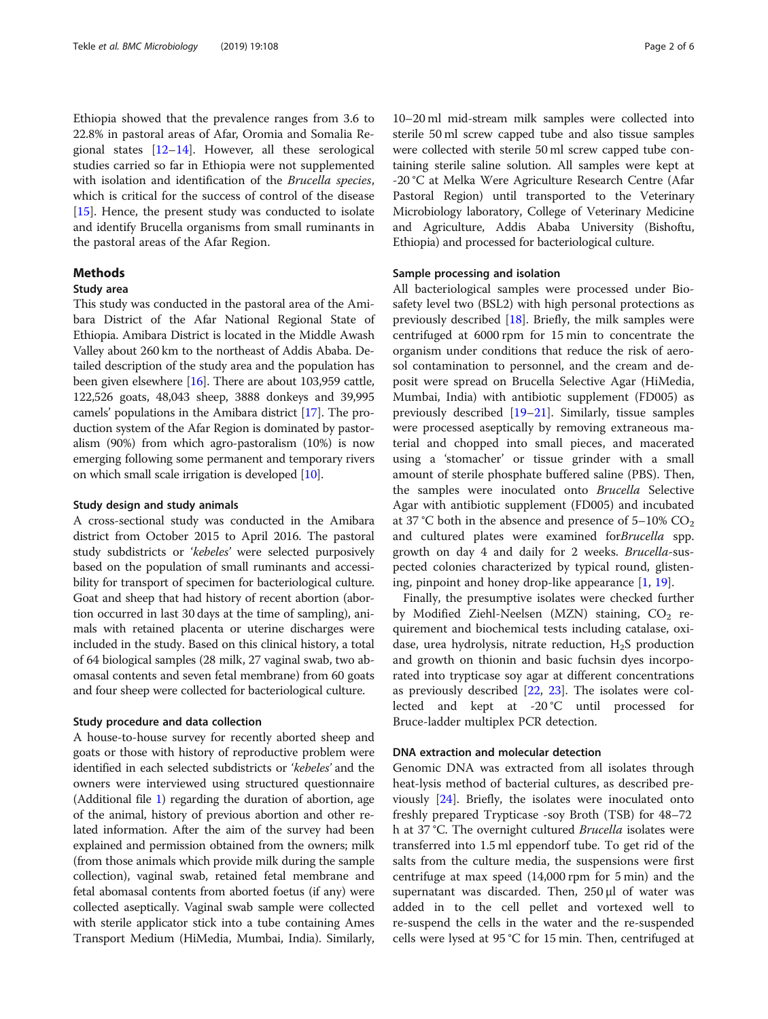Ethiopia showed that the prevalence ranges from 3.6 to 22.8% in pastoral areas of Afar, Oromia and Somalia Regional states [[12](#page-5-0)–[14](#page-5-0)]. However, all these serological studies carried so far in Ethiopia were not supplemented with isolation and identification of the Brucella species, which is critical for the success of control of the disease [[15\]](#page-5-0). Hence, the present study was conducted to isolate and identify Brucella organisms from small ruminants in the pastoral areas of the Afar Region.

### Methods

# Study area

This study was conducted in the pastoral area of the Amibara District of the Afar National Regional State of Ethiopia. Amibara District is located in the Middle Awash Valley about 260 km to the northeast of Addis Ababa. Detailed description of the study area and the population has been given elsewhere [[16](#page-5-0)]. There are about 103,959 cattle, 122,526 goats, 48,043 sheep, 3888 donkeys and 39,995 camels' populations in the Amibara district [[17](#page-5-0)]. The production system of the Afar Region is dominated by pastoralism (90%) from which agro-pastoralism (10%) is now emerging following some permanent and temporary rivers on which small scale irrigation is developed [\[10\]](#page-5-0).

#### Study design and study animals

A cross-sectional study was conducted in the Amibara district from October 2015 to April 2016. The pastoral study subdistricts or 'kebeles' were selected purposively based on the population of small ruminants and accessibility for transport of specimen for bacteriological culture. Goat and sheep that had history of recent abortion (abortion occurred in last 30 days at the time of sampling), animals with retained placenta or uterine discharges were included in the study. Based on this clinical history, a total of 64 biological samples (28 milk, 27 vaginal swab, two abomasal contents and seven fetal membrane) from 60 goats and four sheep were collected for bacteriological culture.

#### Study procedure and data collection

A house-to-house survey for recently aborted sheep and goats or those with history of reproductive problem were identified in each selected subdistricts or 'kebeles' and the owners were interviewed using structured questionnaire (Additional file [1\)](#page-4-0) regarding the duration of abortion, age of the animal, history of previous abortion and other related information. After the aim of the survey had been explained and permission obtained from the owners; milk (from those animals which provide milk during the sample collection), vaginal swab, retained fetal membrane and fetal abomasal contents from aborted foetus (if any) were collected aseptically. Vaginal swab sample were collected with sterile applicator stick into a tube containing Ames Transport Medium (HiMedia, Mumbai, India). Similarly,

10–20 ml mid-stream milk samples were collected into sterile 50 ml screw capped tube and also tissue samples were collected with sterile 50 ml screw capped tube containing sterile saline solution. All samples were kept at -20 °C at Melka Were Agriculture Research Centre (Afar Pastoral Region) until transported to the Veterinary Microbiology laboratory, College of Veterinary Medicine and Agriculture, Addis Ababa University (Bishoftu, Ethiopia) and processed for bacteriological culture.

#### Sample processing and isolation

All bacteriological samples were processed under Biosafety level two (BSL2) with high personal protections as previously described [\[18\]](#page-5-0). Briefly, the milk samples were centrifuged at 6000 rpm for 15 min to concentrate the organism under conditions that reduce the risk of aerosol contamination to personnel, and the cream and deposit were spread on Brucella Selective Agar (HiMedia, Mumbai, India) with antibiotic supplement (FD005) as previously described [[19](#page-5-0)–[21](#page-5-0)]. Similarly, tissue samples were processed aseptically by removing extraneous material and chopped into small pieces, and macerated using a 'stomacher' or tissue grinder with a small amount of sterile phosphate buffered saline (PBS). Then, the samples were inoculated onto Brucella Selective Agar with antibiotic supplement (FD005) and incubated at 37 °C both in the absence and presence of  $5-10\%$  CO<sub>2</sub> and cultured plates were examined forBrucella spp. growth on day 4 and daily for 2 weeks. Brucella-suspected colonies characterized by typical round, glistening, pinpoint and honey drop-like appearance [\[1,](#page-5-0) [19\]](#page-5-0).

Finally, the presumptive isolates were checked further by Modified Ziehl-Neelsen (MZN) staining,  $CO<sub>2</sub>$  requirement and biochemical tests including catalase, oxidase, urea hydrolysis, nitrate reduction,  $H_2S$  production and growth on thionin and basic fuchsin dyes incorporated into trypticase soy agar at different concentrations as previously described [\[22](#page-5-0), [23](#page-5-0)]. The isolates were collected and kept at -20 °C until processed for Bruce-ladder multiplex PCR detection.

#### DNA extraction and molecular detection

Genomic DNA was extracted from all isolates through heat-lysis method of bacterial cultures, as described previously [\[24](#page-5-0)]. Briefly, the isolates were inoculated onto freshly prepared Trypticase -soy Broth (TSB) for 48–72 h at 37 °C. The overnight cultured *Brucella* isolates were transferred into 1.5 ml eppendorf tube. To get rid of the salts from the culture media, the suspensions were first centrifuge at max speed (14,000 rpm for 5 min) and the supernatant was discarded. Then, 250 μl of water was added in to the cell pellet and vortexed well to re-suspend the cells in the water and the re-suspended cells were lysed at 95 °C for 15 min. Then, centrifuged at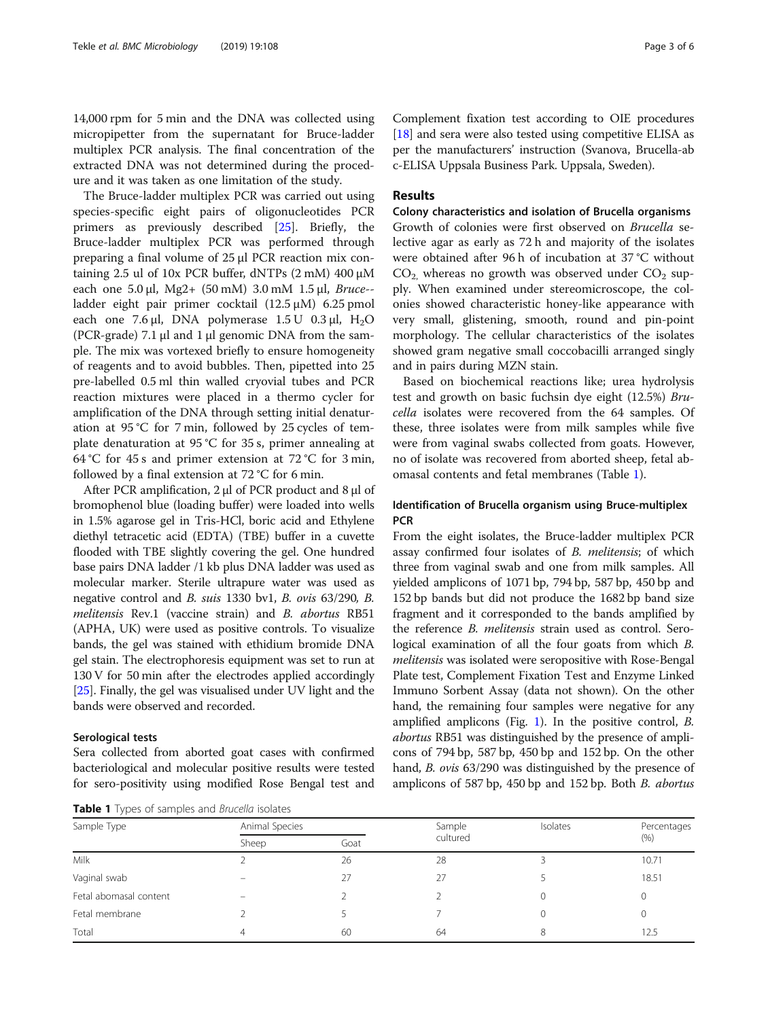14,000 rpm for 5 min and the DNA was collected using micropipetter from the supernatant for Bruce-ladder multiplex PCR analysis. The final concentration of the extracted DNA was not determined during the procedure and it was taken as one limitation of the study.

The Bruce-ladder multiplex PCR was carried out using species-specific eight pairs of oligonucleotides PCR primers as previously described [\[25\]](#page-5-0). Briefly, the Bruce-ladder multiplex PCR was performed through preparing a final volume of 25 μl PCR reaction mix containing 2.5 ul of 10x PCR buffer, dNTPs  $(2 \text{ mM})$  400  $\mu$ M each one 5.0 μl, Mg2+ (50 mM) 3.0 mM 1.5 μl, Bruce- ladder eight pair primer cocktail (12.5 μM) 6.25 pmol each one 7.6 μl, DNA polymerase  $1.5 U$  0.3 μl, H<sub>2</sub>O (PCR-grade) 7.1 μl and 1 μl genomic DNA from the sample. The mix was vortexed briefly to ensure homogeneity of reagents and to avoid bubbles. Then, pipetted into 25 pre-labelled 0.5 ml thin walled cryovial tubes and PCR reaction mixtures were placed in a thermo cycler for amplification of the DNA through setting initial denaturation at 95 °C for 7 min, followed by 25 cycles of template denaturation at 95 °C for 35 s, primer annealing at 64 °C for 45 s and primer extension at  $72$  °C for 3 min, followed by a final extension at 72 °C for 6 min.

After PCR amplification, 2 μl of PCR product and 8 μl of bromophenol blue (loading buffer) were loaded into wells in 1.5% agarose gel in Tris-HCl, boric acid and Ethylene diethyl tetracetic acid (EDTA) (TBE) buffer in a cuvette flooded with TBE slightly covering the gel. One hundred base pairs DNA ladder /1 kb plus DNA ladder was used as molecular marker. Sterile ultrapure water was used as negative control and B. suis 1330 bv1, B. ovis 63/290, B. melitensis Rev.1 (vaccine strain) and B. abortus RB51 (APHA, UK) were used as positive controls. To visualize bands, the gel was stained with ethidium bromide DNA gel stain. The electrophoresis equipment was set to run at 130 V for 50 min after the electrodes applied accordingly [[25](#page-5-0)]. Finally, the gel was visualised under UV light and the bands were observed and recorded.

# Serological tests

Sera collected from aborted goat cases with confirmed bacteriological and molecular positive results were tested for sero-positivity using modified Rose Bengal test and

Complement fixation test according to OIE procedures [[18](#page-5-0)] and sera were also tested using competitive ELISA as per the manufacturers' instruction (Svanova, Brucella-ab c-ELISA Uppsala Business Park. Uppsala, Sweden).

# Results

Colony characteristics and isolation of Brucella organisms Growth of colonies were first observed on Brucella selective agar as early as 72 h and majority of the isolates were obtained after 96 h of incubation at 37 °C without  $CO<sub>2</sub>$  whereas no growth was observed under  $CO<sub>2</sub>$  supply. When examined under stereomicroscope, the colonies showed characteristic honey-like appearance with very small, glistening, smooth, round and pin-point morphology. The cellular characteristics of the isolates showed gram negative small coccobacilli arranged singly and in pairs during MZN stain.

Based on biochemical reactions like; urea hydrolysis test and growth on basic fuchsin dye eight (12.5%) Brucella isolates were recovered from the 64 samples. Of these, three isolates were from milk samples while five were from vaginal swabs collected from goats. However, no of isolate was recovered from aborted sheep, fetal abomasal contents and fetal membranes (Table 1).

# Identification of Brucella organism using Bruce-multiplex **PCR**

From the eight isolates, the Bruce-ladder multiplex PCR assay confirmed four isolates of B. melitensis; of which three from vaginal swab and one from milk samples. All yielded amplicons of 1071 bp, 794 bp, 587 bp, 450 bp and 152 bp bands but did not produce the 1682 bp band size fragment and it corresponded to the bands amplified by the reference B. melitensis strain used as control. Serological examination of all the four goats from which B. melitensis was isolated were seropositive with Rose-Bengal Plate test, Complement Fixation Test and Enzyme Linked Immuno Sorbent Assay (data not shown). On the other hand, the remaining four samples were negative for any amplified amplicons (Fig. [1](#page-3-0)). In the positive control, B. abortus RB51 was distinguished by the presence of amplicons of 794 bp, 587 bp, 450 bp and 152 bp. On the other hand, B. ovis 63/290 was distinguished by the presence of amplicons of 587 bp, 450 bp and 152 bp. Both B. abortus

Table 1 Types of samples and Brucella isolates

| Sample Type            | Animal Species |      | Sample   | Isolates | Percentages |
|------------------------|----------------|------|----------|----------|-------------|
|                        | Sheep          | Goat | cultured |          | $(\% )$     |
| Milk                   |                | 26   | 28       |          | 10.71       |
| Vaginal swab           | -              | 27   | 27       |          | 18.51       |
| Fetal abomasal content | -              |      |          |          |             |
| Fetal membrane         |                |      |          | 0        |             |
| Total                  | 4              | 60   | 64       | 8        | 12.5        |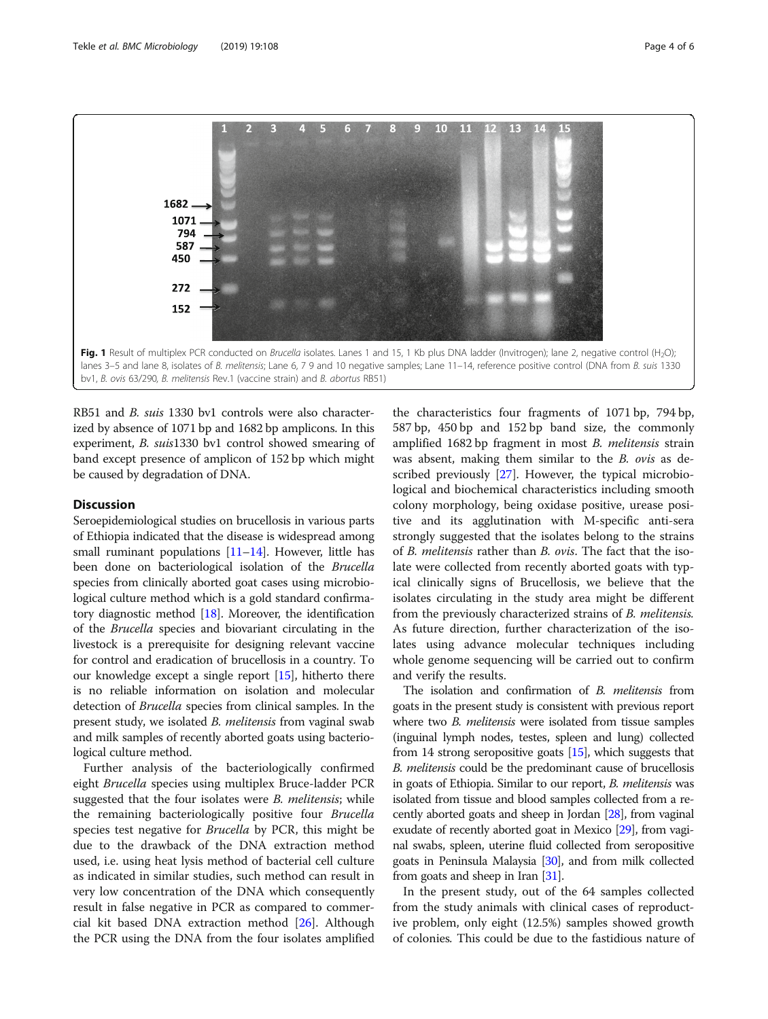<span id="page-3-0"></span>

RB51 and *B. suis* 1330 bv1 controls were also characterized by absence of 1071 bp and 1682 bp amplicons. In this experiment, B. suis1330 bv1 control showed smearing of band except presence of amplicon of 152 bp which might be caused by degradation of DNA.

### **Discussion**

Seroepidemiological studies on brucellosis in various parts of Ethiopia indicated that the disease is widespread among small ruminant populations  $[11–14]$  $[11–14]$  $[11–14]$ . However, little has been done on bacteriological isolation of the Brucella species from clinically aborted goat cases using microbiological culture method which is a gold standard confirmatory diagnostic method [\[18](#page-5-0)]. Moreover, the identification of the Brucella species and biovariant circulating in the livestock is a prerequisite for designing relevant vaccine for control and eradication of brucellosis in a country. To our knowledge except a single report [[15\]](#page-5-0), hitherto there is no reliable information on isolation and molecular detection of Brucella species from clinical samples. In the present study, we isolated B. melitensis from vaginal swab and milk samples of recently aborted goats using bacteriological culture method.

Further analysis of the bacteriologically confirmed eight Brucella species using multiplex Bruce-ladder PCR suggested that the four isolates were *B. melitensis*; while the remaining bacteriologically positive four Brucella species test negative for Brucella by PCR, this might be due to the drawback of the DNA extraction method used, i.e. using heat lysis method of bacterial cell culture as indicated in similar studies, such method can result in very low concentration of the DNA which consequently result in false negative in PCR as compared to commercial kit based DNA extraction method [[26\]](#page-5-0). Although the PCR using the DNA from the four isolates amplified

the characteristics four fragments of 1071 bp, 794 bp, 587 bp, 450 bp and 152 bp band size, the commonly amplified 1682 bp fragment in most B. melitensis strain was absent, making them similar to the B. ovis as described previously [[27](#page-5-0)]. However, the typical microbiological and biochemical characteristics including smooth colony morphology, being oxidase positive, urease positive and its agglutination with M-specific anti-sera strongly suggested that the isolates belong to the strains of B. melitensis rather than B. ovis. The fact that the isolate were collected from recently aborted goats with typical clinically signs of Brucellosis, we believe that the isolates circulating in the study area might be different from the previously characterized strains of B. melitensis. As future direction, further characterization of the isolates using advance molecular techniques including whole genome sequencing will be carried out to confirm and verify the results.

The isolation and confirmation of B. melitensis from goats in the present study is consistent with previous report where two *B. melitensis* were isolated from tissue samples (inguinal lymph nodes, testes, spleen and lung) collected from 14 strong seropositive goats [\[15\]](#page-5-0), which suggests that B. melitensis could be the predominant cause of brucellosis in goats of Ethiopia. Similar to our report, B. melitensis was isolated from tissue and blood samples collected from a recently aborted goats and sheep in Jordan [[28](#page-5-0)], from vaginal exudate of recently aborted goat in Mexico [\[29\]](#page-5-0), from vaginal swabs, spleen, uterine fluid collected from seropositive goats in Peninsula Malaysia [\[30](#page-5-0)], and from milk collected from goats and sheep in Iran [\[31\]](#page-5-0).

In the present study, out of the 64 samples collected from the study animals with clinical cases of reproductive problem, only eight (12.5%) samples showed growth of colonies. This could be due to the fastidious nature of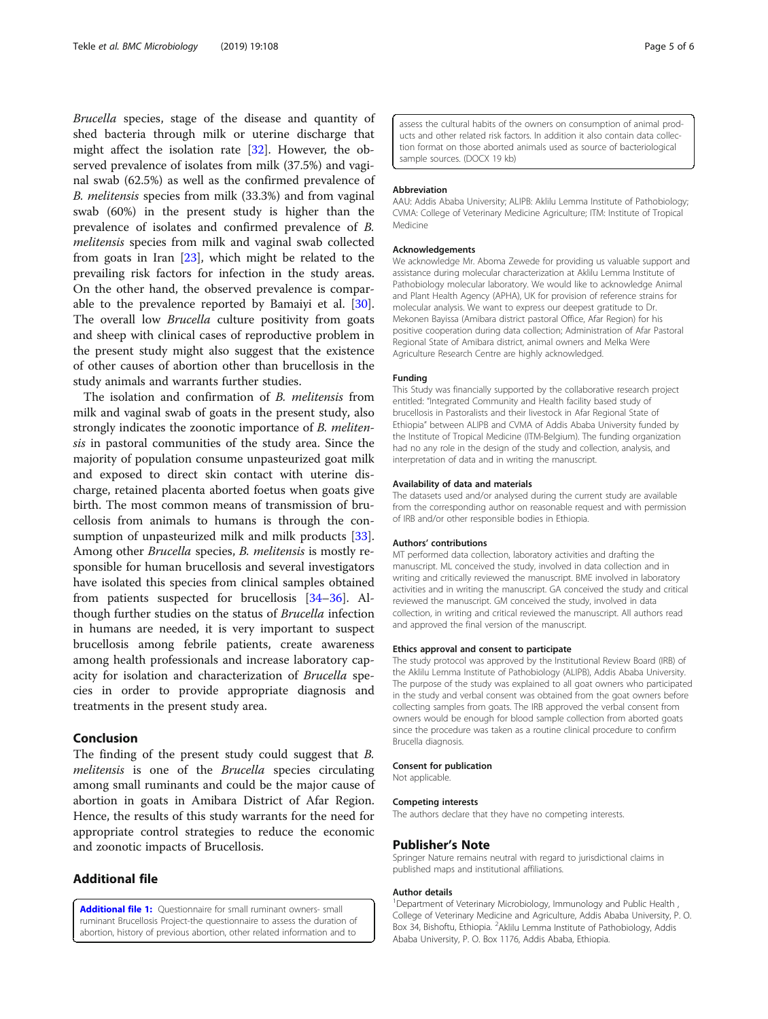<span id="page-4-0"></span>Brucella species, stage of the disease and quantity of shed bacteria through milk or uterine discharge that might affect the isolation rate [\[32\]](#page-5-0). However, the observed prevalence of isolates from milk (37.5%) and vaginal swab (62.5%) as well as the confirmed prevalence of B. melitensis species from milk (33.3%) and from vaginal swab (60%) in the present study is higher than the prevalence of isolates and confirmed prevalence of B. melitensis species from milk and vaginal swab collected from goats in Iran [[23\]](#page-5-0), which might be related to the prevailing risk factors for infection in the study areas. On the other hand, the observed prevalence is comparable to the prevalence reported by Bamaiyi et al. [\[30](#page-5-0)]. The overall low *Brucella* culture positivity from goats and sheep with clinical cases of reproductive problem in the present study might also suggest that the existence of other causes of abortion other than brucellosis in the study animals and warrants further studies.

The isolation and confirmation of B. melitensis from milk and vaginal swab of goats in the present study, also strongly indicates the zoonotic importance of B. melitensis in pastoral communities of the study area. Since the majority of population consume unpasteurized goat milk and exposed to direct skin contact with uterine discharge, retained placenta aborted foetus when goats give birth. The most common means of transmission of brucellosis from animals to humans is through the con-sumption of unpasteurized milk and milk products [\[33](#page-5-0)]. Among other Brucella species, B. melitensis is mostly responsible for human brucellosis and several investigators have isolated this species from clinical samples obtained from patients suspected for brucellosis [[34](#page-5-0)–[36](#page-5-0)]. Although further studies on the status of Brucella infection in humans are needed, it is very important to suspect brucellosis among febrile patients, create awareness among health professionals and increase laboratory capacity for isolation and characterization of Brucella species in order to provide appropriate diagnosis and treatments in the present study area.

# Conclusion

The finding of the present study could suggest that B. melitensis is one of the Brucella species circulating among small ruminants and could be the major cause of abortion in goats in Amibara District of Afar Region. Hence, the results of this study warrants for the need for appropriate control strategies to reduce the economic and zoonotic impacts of Brucellosis.

# Additional file

[Additional file 1:](https://doi.org/10.1186/s12866-019-1474-y) Questionnaire for small ruminant owners- small ruminant Brucellosis Project-the questionnaire to assess the duration of abortion, history of previous abortion, other related information and to

assess the cultural habits of the owners on consumption of animal products and other related risk factors. In addition it also contain data collection format on those aborted animals used as source of bacteriological sample sources. (DOCX 19 kb)

#### Abbreviation

AAU: Addis Ababa University; ALIPB: Aklilu Lemma Institute of Pathobiology; CVMA: College of Veterinary Medicine Agriculture; ITM: Institute of Tropical Medicine

#### Acknowledgements

We acknowledge Mr. Aboma Zewede for providing us valuable support and assistance during molecular characterization at Aklilu Lemma Institute of Pathobiology molecular laboratory. We would like to acknowledge Animal and Plant Health Agency (APHA), UK for provision of reference strains for molecular analysis. We want to express our deepest gratitude to Dr. Mekonen Bayissa (Amibara district pastoral Office, Afar Region) for his positive cooperation during data collection; Administration of Afar Pastoral Regional State of Amibara district, animal owners and Melka Were Agriculture Research Centre are highly acknowledged.

#### Funding

This Study was financially supported by the collaborative research project entitled: "Integrated Community and Health facility based study of brucellosis in Pastoralists and their livestock in Afar Regional State of Ethiopia" between ALIPB and CVMA of Addis Ababa University funded by the Institute of Tropical Medicine (ITM-Belgium). The funding organization had no any role in the design of the study and collection, analysis, and interpretation of data and in writing the manuscript.

#### Availability of data and materials

The datasets used and/or analysed during the current study are available from the corresponding author on reasonable request and with permission of IRB and/or other responsible bodies in Ethiopia.

#### Authors' contributions

MT performed data collection, laboratory activities and drafting the manuscript. ML conceived the study, involved in data collection and in writing and critically reviewed the manuscript. BME involved in laboratory activities and in writing the manuscript. GA conceived the study and critical reviewed the manuscript. GM conceived the study, involved in data collection, in writing and critical reviewed the manuscript. All authors read and approved the final version of the manuscript.

#### Ethics approval and consent to participate

The study protocol was approved by the Institutional Review Board (IRB) of the Aklilu Lemma Institute of Pathobiology (ALIPB), Addis Ababa University. The purpose of the study was explained to all goat owners who participated in the study and verbal consent was obtained from the goat owners before collecting samples from goats. The IRB approved the verbal consent from owners would be enough for blood sample collection from aborted goats since the procedure was taken as a routine clinical procedure to confirm Brucella diagnosis.

# Consent for publication

Not applicable.

#### Competing interests

The authors declare that they have no competing interests.

#### Publisher's Note

Springer Nature remains neutral with regard to jurisdictional claims in published maps and institutional affiliations.

#### Author details

<sup>1</sup>Department of Veterinary Microbiology, Immunology and Public Health College of Veterinary Medicine and Agriculture, Addis Ababa University, P. O. Box 34, Bishoftu, Ethiopia. <sup>2</sup> Aklilu Lemma Institute of Pathobiology, Addis Ababa University, P. O. Box 1176, Addis Ababa, Ethiopia.